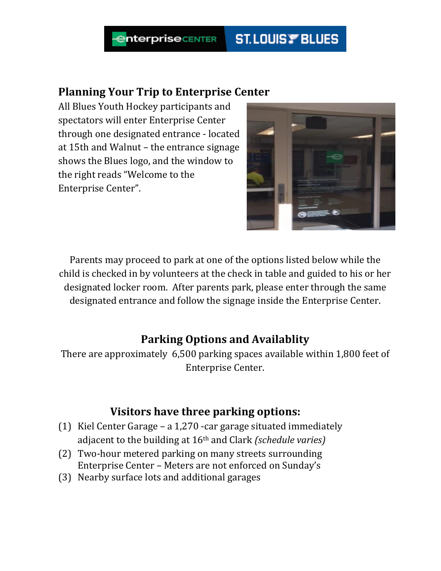#### **ST.LOUIS FBLUES nterprise** CENTER

#### **Planning Your Trip to Enterprise Center**

All Blues Youth Hockey participants and spectators will enter Enterprise Center through one designated entrance - located at 15th and Walnut – the entrance signage shows the Blues logo, and the window to the right reads "Welcome to the Enterprise Center".



Parents may proceed to park at one of the options listed below while the child is checked in by volunteers at the check in table and guided to his or her designated locker room. After parents park, please enter through the same designated entrance and follow the signage inside the Enterprise Center.

# **Parking Options and Availablity**

There are approximately 6,500 parking spaces available within 1,800 feet of Enterprise Center.

#### **Visitors have three parking options:**

- (1) Kiel Center Garage a 1,270 -car garage situated immediately adjacent to the building at 16th and Clark *(schedule varies)*
- (2) Two-hour metered parking on many streets surrounding Enterprise Center – Meters are not enforced on Sunday's
- (3) Nearby surface lots and additional garages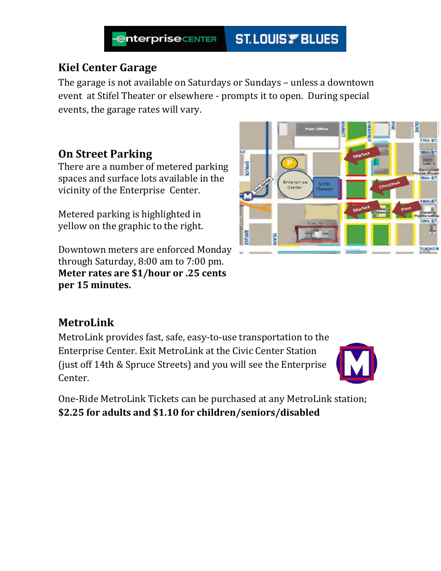

## **Kiel Center Garage**

The garage is not available on Saturdays or Sundays – unless a downtown event at Stifel Theater or elsewhere - prompts it to open. During special events, the garage rates will vary.

## **On Street Parking**

There are a number of metered parking spaces and surface lots available in the vicinity of the Enterprise Center.

Metered parking is highlighted in yellow on the graphic to the right.

Downtown meters are enforced Monday through Saturday, 8:00 am to 7:00 pm. **Meter rates are \$1/hour or .25 cents per 15 minutes.** 



MetroLink provides fast, safe, easy-to-use transportation to the Enterprise Center. Exit MetroLink at the Civic Center Station (just off 14th & Spruce Streets) and you will see the Enterprise Center.

One-Ride MetroLink Tickets can be purchased at any MetroLink station; **\$2.25 for adults and \$1.10 for children/seniors/disabled**